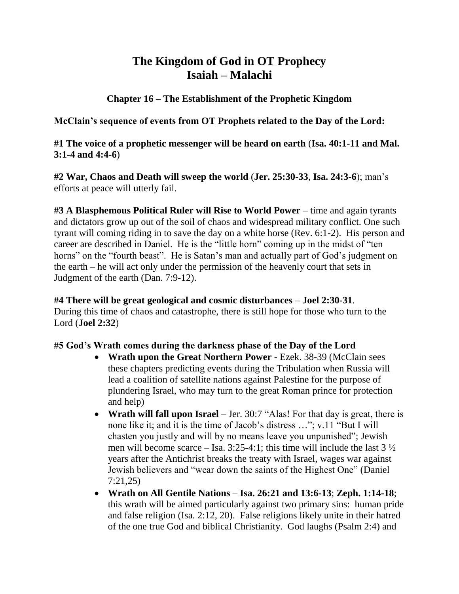# **The Kingdom of God in OT Prophecy Isaiah – Malachi**

**Chapter 16 – The Establishment of the Prophetic Kingdom**

**McClain's sequence of events from OT Prophets related to the Day of the Lord:**

**#1 The voice of a prophetic messenger will be heard on earth** (**Isa. 40:1-11 and Mal. 3:1-4 and 4:4-6**)

**#2 War, Chaos and Death will sweep the world** (**Jer. 25:30-33**, **Isa. 24:3-6**); man's efforts at peace will utterly fail.

**#3 A Blasphemous Political Ruler will Rise to World Power** – time and again tyrants and dictators grow up out of the soil of chaos and widespread military conflict. One such tyrant will coming riding in to save the day on a white horse (Rev. 6:1-2). His person and career are described in Daniel. He is the "little horn" coming up in the midst of "ten horns" on the "fourth beast". He is Satan's man and actually part of God's judgment on the earth – he will act only under the permission of the heavenly court that sets in Judgment of the earth (Dan. 7:9-12).

**#4 There will be great geological and cosmic disturbances** – **Joel 2:30-31**. During this time of chaos and catastrophe, there is still hope for those who turn to the Lord (**Joel 2:32**)

# **#5 God's Wrath comes during the darkness phase of the Day of the Lord**

- **Wrath upon the Great Northern Power** Ezek. 38-39 (McClain sees these chapters predicting events during the Tribulation when Russia will lead a coalition of satellite nations against Palestine for the purpose of plundering Israel, who may turn to the great Roman prince for protection and help)
- **Wrath will fall upon Israel** Jer. 30:7 "Alas! For that day is great, there is none like it; and it is the time of Jacob's distress …"; v.11 "But I will chasten you justly and will by no means leave you unpunished"; Jewish men will become scarce – Isa.  $3:25-4:1$ ; this time will include the last  $3\frac{1}{2}$ years after the Antichrist breaks the treaty with Israel, wages war against Jewish believers and "wear down the saints of the Highest One" (Daniel 7:21,25)
- **Wrath on All Gentile Nations Isa. 26:21 and 13:6-13**; **Zeph. 1:14-18**; this wrath will be aimed particularly against two primary sins: human pride and false religion (Isa. 2:12, 20). False religions likely unite in their hatred of the one true God and biblical Christianity. God laughs (Psalm 2:4) and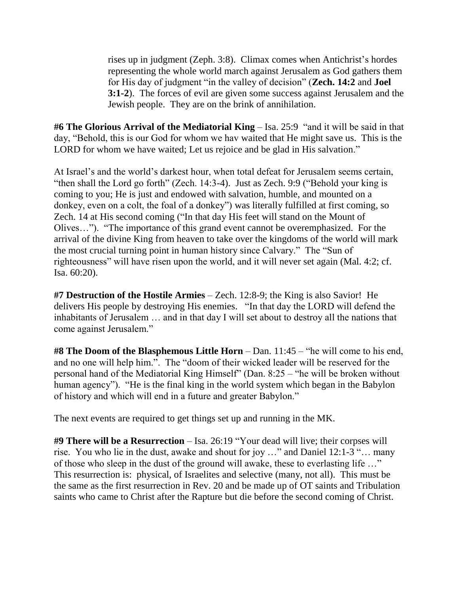rises up in judgment (Zeph. 3:8). Climax comes when Antichrist's hordes representing the whole world march against Jerusalem as God gathers them for His day of judgment "in the valley of decision" (**Zech. 14:2** and **Joel 3:1-2**). The forces of evil are given some success against Jerusalem and the Jewish people. They are on the brink of annihilation.

**#6 The Glorious Arrival of the Mediatorial King** – Isa. 25:9 "and it will be said in that day, "Behold, this is our God for whom we hav waited that He might save us. This is the LORD for whom we have waited; Let us rejoice and be glad in His salvation."

At Israel's and the world's darkest hour, when total defeat for Jerusalem seems certain, "then shall the Lord go forth" (Zech. 14:3-4). Just as Zech. 9:9 ("Behold your king is coming to you; He is just and endowed with salvation, humble, and mounted on a donkey, even on a colt, the foal of a donkey") was literally fulfilled at first coming, so Zech. 14 at His second coming ("In that day His feet will stand on the Mount of Olives…"). "The importance of this grand event cannot be overemphasized. For the arrival of the divine King from heaven to take over the kingdoms of the world will mark the most crucial turning point in human history since Calvary." The "Sun of righteousness" will have risen upon the world, and it will never set again (Mal. 4:2; cf. Isa. 60:20).

**#7 Destruction of the Hostile Armies** – Zech. 12:8-9; the King is also Savior! He delivers His people by destroying His enemies. "In that day the LORD will defend the inhabitants of Jerusalem … and in that day I will set about to destroy all the nations that come against Jerusalem."

**#8 The Doom of the Blasphemous Little Horn** – Dan. 11:45 – "he will come to his end, and no one will help him.". The "doom of their wicked leader will be reserved for the personal hand of the Mediatorial King Himself" (Dan. 8:25 – "he will be broken without human agency"). "He is the final king in the world system which began in the Babylon of history and which will end in a future and greater Babylon."

The next events are required to get things set up and running in the MK.

**#9 There will be a Resurrection** – Isa. 26:19 "Your dead will live; their corpses will rise. You who lie in the dust, awake and shout for joy …" and Daniel 12:1-3 "… many of those who sleep in the dust of the ground will awake, these to everlasting life …" This resurrection is: physical, of Israelites and selective (many, not all). This must be the same as the first resurrection in Rev. 20 and be made up of OT saints and Tribulation saints who came to Christ after the Rapture but die before the second coming of Christ.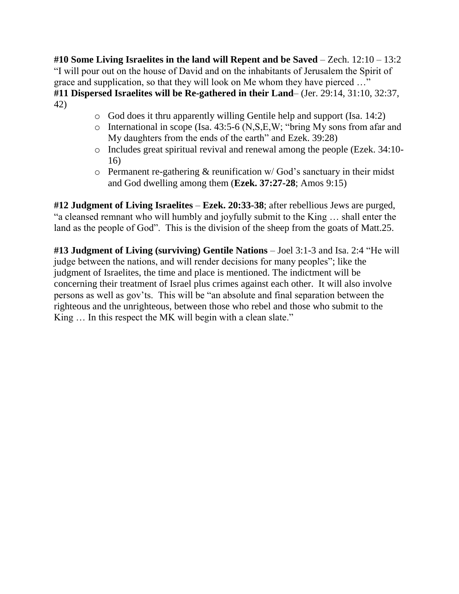**#10 Some Living Israelites in the land will Repent and be Saved** – Zech. 12:10 – 13:2 "I will pour out on the house of David and on the inhabitants of Jerusalem the Spirit of grace and supplication, so that they will look on Me whom they have pierced …" **#11 Dispersed Israelites will be Re-gathered in their Land**– (Jer. 29:14, 31:10, 32:37, 42)

- o God does it thru apparently willing Gentile help and support (Isa. 14:2)
- $\circ$  International in scope (Isa. 43:5-6 (N, S, E, W; "bring My sons from afar and My daughters from the ends of the earth" and Ezek. 39:28)
- o Includes great spiritual revival and renewal among the people (Ezek. 34:10- 16)
- $\circ$  Permanent re-gathering & reunification w/ God's sanctuary in their midst and God dwelling among them (**Ezek. 37:27-28**; Amos 9:15)

**#12 Judgment of Living Israelites** – **Ezek. 20:33-38**; after rebellious Jews are purged, "a cleansed remnant who will humbly and joyfully submit to the King … shall enter the land as the people of God". This is the division of the sheep from the goats of Matt.25.

**#13 Judgment of Living (surviving) Gentile Nations** – Joel 3:1-3 and Isa. 2:4 "He will judge between the nations, and will render decisions for many peoples"; like the judgment of Israelites, the time and place is mentioned. The indictment will be concerning their treatment of Israel plus crimes against each other. It will also involve persons as well as gov'ts. This will be "an absolute and final separation between the righteous and the unrighteous, between those who rebel and those who submit to the King ... In this respect the MK will begin with a clean slate."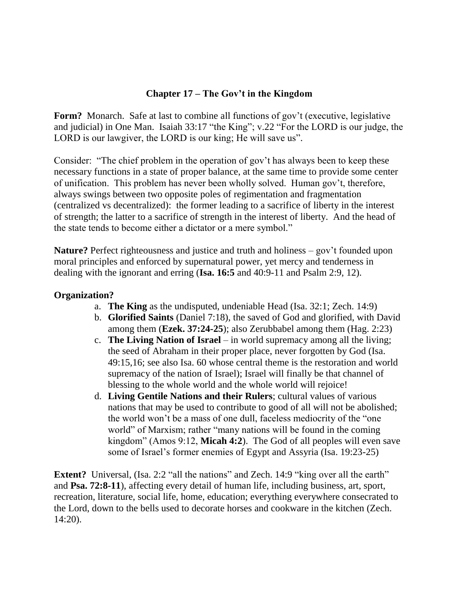#### **Chapter 17 – The Gov't in the Kingdom**

**Form?** Monarch. Safe at last to combine all functions of gov't (executive, legislative and judicial) in One Man. Isaiah 33:17 "the King"; v.22 "For the LORD is our judge, the LORD is our lawgiver, the LORD is our king; He will save us".

Consider: "The chief problem in the operation of gov't has always been to keep these necessary functions in a state of proper balance, at the same time to provide some center of unification. This problem has never been wholly solved. Human gov't, therefore, always swings between two opposite poles of regimentation and fragmentation (centralized vs decentralized): the former leading to a sacrifice of liberty in the interest of strength; the latter to a sacrifice of strength in the interest of liberty. And the head of the state tends to become either a dictator or a mere symbol."

**Nature?** Perfect righteousness and justice and truth and holiness – gov't founded upon moral principles and enforced by supernatural power, yet mercy and tenderness in dealing with the ignorant and erring (**Isa. 16:5** and 40:9-11 and Psalm 2:9, 12).

#### **Organization?**

- a. **The King** as the undisputed, undeniable Head (Isa. 32:1; Zech. 14:9)
- b. **Glorified Saints** (Daniel 7:18), the saved of God and glorified, with David among them (**Ezek. 37:24-25**); also Zerubbabel among them (Hag. 2:23)
- c. **The Living Nation of Israel** in world supremacy among all the living; the seed of Abraham in their proper place, never forgotten by God (Isa. 49:15,16; see also Isa. 60 whose central theme is the restoration and world supremacy of the nation of Israel); Israel will finally be that channel of blessing to the whole world and the whole world will rejoice!
- d. **Living Gentile Nations and their Rulers**; cultural values of various nations that may be used to contribute to good of all will not be abolished; the world won't be a mass of one dull, faceless mediocrity of the "one world" of Marxism; rather "many nations will be found in the coming kingdom" (Amos 9:12, **Micah 4:2**). The God of all peoples will even save some of Israel's former enemies of Egypt and Assyria (Isa. 19:23-25)

**Extent?** Universal, (Isa. 2:2 "all the nations" and Zech. 14:9 "king over all the earth" and **Psa. 72:8-11**), affecting every detail of human life, including business, art, sport, recreation, literature, social life, home, education; everything everywhere consecrated to the Lord, down to the bells used to decorate horses and cookware in the kitchen (Zech. 14:20).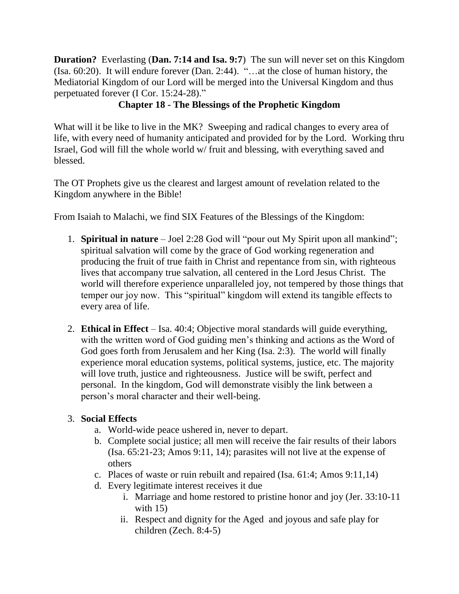**Duration?** Everlasting (**Dan. 7:14 and Isa. 9:7**) The sun will never set on this Kingdom (Isa. 60:20). It will endure forever (Dan. 2:44). "…at the close of human history, the Mediatorial Kingdom of our Lord will be merged into the Universal Kingdom and thus perpetuated forever (I Cor. 15:24-28)."

# **Chapter 18 - The Blessings of the Prophetic Kingdom**

What will it be like to live in the MK? Sweeping and radical changes to every area of life, with every need of humanity anticipated and provided for by the Lord. Working thru Israel, God will fill the whole world w/ fruit and blessing, with everything saved and blessed.

The OT Prophets give us the clearest and largest amount of revelation related to the Kingdom anywhere in the Bible!

From Isaiah to Malachi, we find SIX Features of the Blessings of the Kingdom:

- 1. **Spiritual in nature** Joel 2:28 God will "pour out My Spirit upon all mankind"; spiritual salvation will come by the grace of God working regeneration and producing the fruit of true faith in Christ and repentance from sin, with righteous lives that accompany true salvation, all centered in the Lord Jesus Christ. The world will therefore experience unparalleled joy, not tempered by those things that temper our joy now. This "spiritual" kingdom will extend its tangible effects to every area of life.
- 2. **Ethical in Effect** Isa. 40:4; Objective moral standards will guide everything, with the written word of God guiding men's thinking and actions as the Word of God goes forth from Jerusalem and her King (Isa. 2:3). The world will finally experience moral education systems, political systems, justice, etc. The majority will love truth, justice and righteousness. Justice will be swift, perfect and personal. In the kingdom, God will demonstrate visibly the link between a person's moral character and their well-being.

# 3. **Social Effects**

- a. World-wide peace ushered in, never to depart.
- b. Complete social justice; all men will receive the fair results of their labors (Isa. 65:21-23; Amos 9:11, 14); parasites will not live at the expense of others
- c. Places of waste or ruin rebuilt and repaired (Isa. 61:4; Amos 9:11,14)
- d. Every legitimate interest receives it due
	- i. Marriage and home restored to pristine honor and joy (Jer. 33:10-11 with 15)
	- ii. Respect and dignity for the Aged and joyous and safe play for children (Zech. 8:4-5)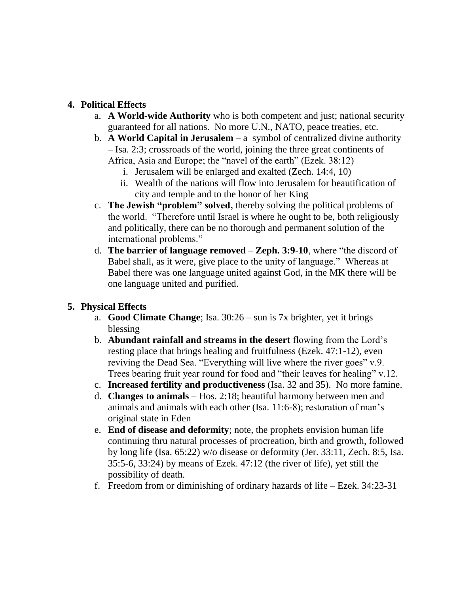#### **4. Political Effects**

- a. **A World-wide Authority** who is both competent and just; national security guaranteed for all nations. No more U.N., NATO, peace treaties, etc.
- b. **A World Capital in Jerusalem** a symbol of centralized divine authority – Isa. 2:3; crossroads of the world, joining the three great continents of Africa, Asia and Europe; the "navel of the earth" (Ezek. 38:12)
	- i. Jerusalem will be enlarged and exalted (Zech. 14:4, 10)
	- ii. Wealth of the nations will flow into Jerusalem for beautification of city and temple and to the honor of her King
- c. **The Jewish "problem" solved,** thereby solving the political problems of the world. "Therefore until Israel is where he ought to be, both religiously and politically, there can be no thorough and permanent solution of the international problems."
- d. **The barrier of language removed Zeph. 3:9-10**, where "the discord of Babel shall, as it were, give place to the unity of language." Whereas at Babel there was one language united against God, in the MK there will be one language united and purified.

# **5. Physical Effects**

- a. **Good Climate Change**; Isa. 30:26 sun is 7x brighter, yet it brings blessing
- b. **Abundant rainfall and streams in the desert** flowing from the Lord's resting place that brings healing and fruitfulness (Ezek. 47:1-12), even reviving the Dead Sea. "Everything will live where the river goes" v.9. Trees bearing fruit year round for food and "their leaves for healing" v.12.
- c. **Increased fertility and productiveness** (Isa. 32 and 35). No more famine.
- d. **Changes to animals** Hos. 2:18; beautiful harmony between men and animals and animals with each other (Isa. 11:6-8); restoration of man's original state in Eden
- e. **End of disease and deformity**; note, the prophets envision human life continuing thru natural processes of procreation, birth and growth, followed by long life (Isa. 65:22) w/o disease or deformity (Jer. 33:11, Zech. 8:5, Isa. 35:5-6, 33:24) by means of Ezek. 47:12 (the river of life), yet still the possibility of death.
- f. Freedom from or diminishing of ordinary hazards of life Ezek. 34:23-31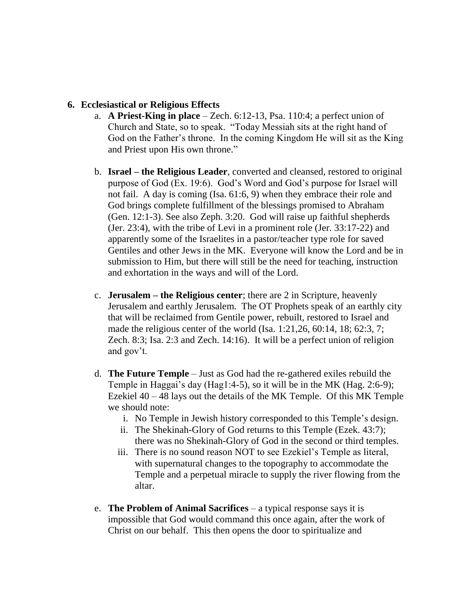#### **6. Ecclesiastical or Religious Effects**

- a. **A Priest-King in place** Zech. 6:12-13, Psa. 110:4; a perfect union of Church and State, so to speak. "Today Messiah sits at the right hand of God on the Father's throne. In the coming Kingdom He will sit as the King and Priest upon His own throne."
- b. **Israel – the Religious Leader**, converted and cleansed, restored to original purpose of God (Ex. 19:6). God's Word and God's purpose for Israel will not fail. A day is coming (Isa. 61:6, 9) when they embrace their role and God brings complete fulfillment of the blessings promised to Abraham (Gen. 12:1-3). See also Zeph. 3:20. God will raise up faithful shepherds (Jer. 23:4), with the tribe of Levi in a prominent role (Jer. 33:17-22) and apparently some of the Israelites in a pastor/teacher type role for saved Gentiles and other Jews in the MK. Everyone will know the Lord and be in submission to Him, but there will still be the need for teaching, instruction and exhortation in the ways and will of the Lord.
- c. **Jerusalem – the Religious center**; there are 2 in Scripture, heavenly Jerusalem and earthly Jerusalem. The OT Prophets speak of an earthly city that will be reclaimed from Gentile power, rebuilt, restored to Israel and made the religious center of the world (Isa. 1:21,26, 60:14, 18; 62:3, 7; Zech. 8:3; Isa. 2:3 and Zech. 14:16). It will be a perfect union of religion and gov't.
- d. **The Future Temple** Just as God had the re-gathered exiles rebuild the Temple in Haggai's day (Hag1:4-5), so it will be in the MK (Hag. 2:6-9); Ezekiel 40 – 48 lays out the details of the MK Temple. Of this MK Temple we should note:
	- i. No Temple in Jewish history corresponded to this Temple's design.
	- ii. The Shekinah-Glory of God returns to this Temple (Ezek. 43:7); there was no Shekinah-Glory of God in the second or third temples.
	- iii. There is no sound reason NOT to see Ezekiel's Temple as literal, with supernatural changes to the topography to accommodate the Temple and a perpetual miracle to supply the river flowing from the altar.
- e. **The Problem of Animal Sacrifices** a typical response says it is impossible that God would command this once again, after the work of Christ on our behalf. This then opens the door to spiritualize and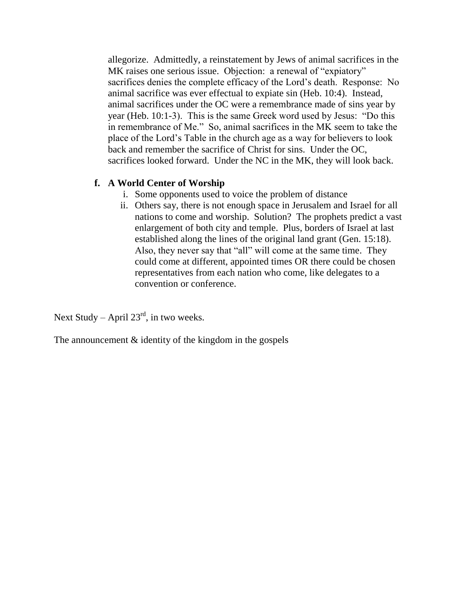allegorize. Admittedly, a reinstatement by Jews of animal sacrifices in the MK raises one serious issue. Objection: a renewal of "expiatory" sacrifices denies the complete efficacy of the Lord's death. Response: No animal sacrifice was ever effectual to expiate sin (Heb. 10:4). Instead, animal sacrifices under the OC were a remembrance made of sins year by year (Heb. 10:1-3). This is the same Greek word used by Jesus: "Do this in remembrance of Me." So, animal sacrifices in the MK seem to take the place of the Lord's Table in the church age as a way for believers to look back and remember the sacrifice of Christ for sins. Under the OC, sacrifices looked forward. Under the NC in the MK, they will look back.

#### **f. A World Center of Worship**

- i. Some opponents used to voice the problem of distance
- ii. Others say, there is not enough space in Jerusalem and Israel for all nations to come and worship. Solution? The prophets predict a vast enlargement of both city and temple. Plus, borders of Israel at last established along the lines of the original land grant (Gen. 15:18). Also, they never say that "all" will come at the same time. They could come at different, appointed times OR there could be chosen representatives from each nation who come, like delegates to a convention or conference.

Next Study – April  $23<sup>rd</sup>$ , in two weeks.

The announcement & identity of the kingdom in the gospels